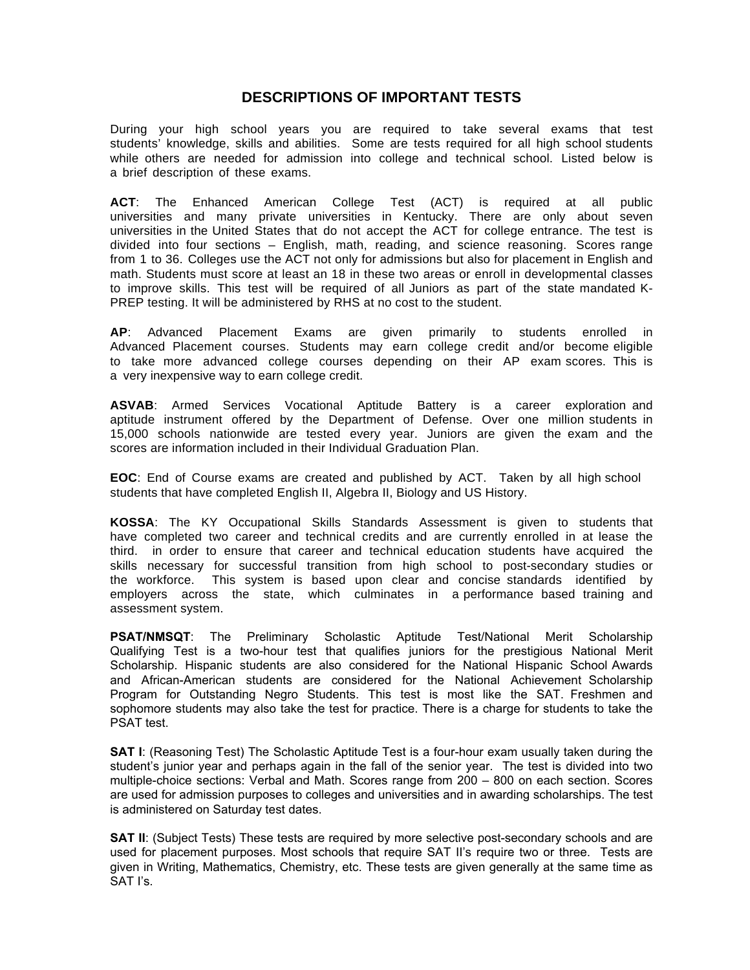## **DESCRIPTIONS OF IMPORTANT TESTS**

During your high school years you are required to take several exams that test students' knowledge, skills and abilities. Some are tests required for all high school students while others are needed for admission into college and technical school. Listed below is a brief description of these exams.

**ACT**: The Enhanced American College Test (ACT) is required at all public universities and many private universities in Kentucky. There are only about seven universities in the United States that do not accept the ACT for college entrance. The test is divided into four sections – English, math, reading, and science reasoning. Scores range from 1 to 36. Colleges use the ACT not only for admissions but also for placement in English and math. Students must score at least an 18 in these two areas or enroll in developmental classes to improve skills. This test will be required of all Juniors as part of the state mandated K-PREP testing. It will be administered by RHS at no cost to the student.

**AP**: Advanced Placement Exams are given primarily to students enrolled in Advanced Placement courses. Students may earn college credit and/or become eligible to take more advanced college courses depending on their AP exam scores. This is a very inexpensive way to earn college credit.

**ASVAB**: Armed Services Vocational Aptitude Battery is a career exploration and aptitude instrument offered by the Department of Defense. Over one million students in 15,000 schools nationwide are tested every year. Juniors are given the exam and the scores are information included in their Individual Graduation Plan.

**EOC**: End of Course exams are created and published by ACT. Taken by all high school students that have completed English II, Algebra II, Biology and US History.

**KOSSA**: The KY Occupational Skills Standards Assessment is given to students that have completed two career and technical credits and are currently enrolled in at lease the third. in order to ensure that career and technical education students have acquired the skills necessary for successful transition from high school to post-secondary studies or the workforce. This system is based upon clear and concise standards identified by employers across the state, which culminates in a performance based training and assessment system.

**PSAT/NMSQT**: The Preliminary Scholastic Aptitude Test/National Merit Scholarship Qualifying Test is a two-hour test that qualifies juniors for the prestigious National Merit Scholarship. Hispanic students are also considered for the National Hispanic School Awards and African-American students are considered for the National Achievement Scholarship Program for Outstanding Negro Students. This test is most like the SAT. Freshmen and sophomore students may also take the test for practice. There is a charge for students to take the PSAT test.

**SAT I:** (Reasoning Test) The Scholastic Aptitude Test is a four-hour exam usually taken during the student's junior year and perhaps again in the fall of the senior year. The test is divided into two multiple-choice sections: Verbal and Math. Scores range from 200 – 800 on each section. Scores are used for admission purposes to colleges and universities and in awarding scholarships. The test is administered on Saturday test dates.

**SAT II:** (Subject Tests) These tests are required by more selective post-secondary schools and are used for placement purposes. Most schools that require SAT II's require two or three. Tests are given in Writing, Mathematics, Chemistry, etc. These tests are given generally at the same time as SAT I's.